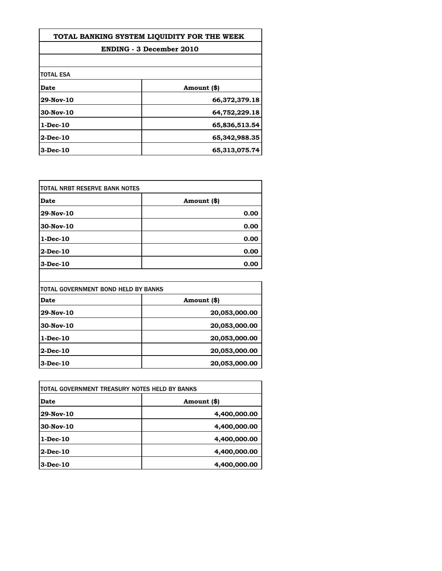| TOTAL BANKING SYSTEM LIQUIDITY FOR THE WEEK<br><b>ENDING - 3 December 2010</b> |               |                  |             |
|--------------------------------------------------------------------------------|---------------|------------------|-------------|
|                                                                                |               | <b>TOTAL ESA</b> |             |
|                                                                                |               | Date             | Amount (\$) |
| 29-Nov-10                                                                      | 66,372,379.18 |                  |             |
| 30-Nov-10                                                                      | 64,752,229.18 |                  |             |
| 1-Dec-10                                                                       | 65,836,513.54 |                  |             |
| 2-Dec-10                                                                       | 65,342,988.35 |                  |             |
| 3-Dec-10                                                                       | 65,313,075.74 |                  |             |

| ITOTAL NRBT RESERVE BANK NOTES |             |
|--------------------------------|-------------|
| Date                           | Amount (\$) |
| 29-Nov-10                      | 0.00        |
| $30$ -Nov-10                   | 0.00        |
| $1-Dec-10$                     | 0.00        |
| $2-Dec-10$                     | 0.00        |
| $3-Dec-10$                     | 0.00        |

| ITOTAL GOVERNMENT BOND HELD BY BANKS |               |
|--------------------------------------|---------------|
| Date                                 | Amount (\$)   |
| 29-Nov-10                            | 20,053,000.00 |
| 30-Nov-10                            | 20,053,000.00 |
| $1-Dec-10$                           | 20,053,000.00 |
| $2$ -Dec-10                          | 20,053,000.00 |
| $3$ -Dec-10                          | 20,053,000.00 |

| TOTAL GOVERNMENT TREASURY NOTES HELD BY BANKS |              |
|-----------------------------------------------|--------------|
| Date                                          | Amount (\$)  |
| 29-Nov-10                                     | 4,400,000.00 |
| 30-Nov-10                                     | 4,400,000.00 |
| $1-Dec-10$                                    | 4,400,000.00 |
| $2$ -Dec-10                                   | 4,400,000.00 |
| $3$ -Dec-10                                   | 4,400,000.00 |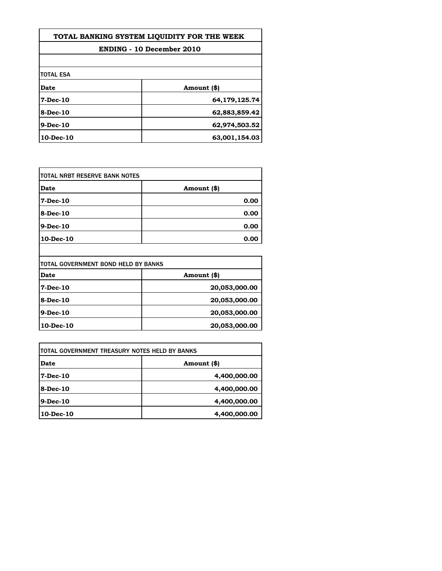| TOTAL BANKING SYSTEM LIQUIDITY FOR THE WEEK<br><b>ENDING - 10 December 2010</b> |               |                  |             |
|---------------------------------------------------------------------------------|---------------|------------------|-------------|
|                                                                                 |               | <b>TOTAL ESA</b> |             |
|                                                                                 |               | <b>Date</b>      | Amount (\$) |
| $7$ -Dec-10                                                                     | 64,179,125.74 |                  |             |
| 8-Dec-10                                                                        | 62,883,859.42 |                  |             |
| $9-Dec-10$                                                                      | 62,974,503.52 |                  |             |
| $10$ -Dec- $10$                                                                 | 63,001,154.03 |                  |             |

| Date      | Amount (\$) |
|-----------|-------------|
| 7-Dec-10  | 0.00        |
| 8-Dec-10  | 0.00        |
| 9-Dec-10  | 0.00        |
| 10-Dec-10 | 0.00        |

| <b>TOTAL GOVERNMENT BOND HELD BY BANKS</b> |               |
|--------------------------------------------|---------------|
| Date                                       | Amount (\$)   |
| $7 - Dec - 10$                             | 20,053,000.00 |
| 8-Dec-10                                   | 20,053,000.00 |
| $9$ -Dec-10                                | 20,053,000.00 |
| $10$ -Dec- $10$                            | 20,053,000.00 |

| 4,400,000.00 |
|--------------|
|              |
| 4,400,000.00 |
| 4,400,000.00 |
|              |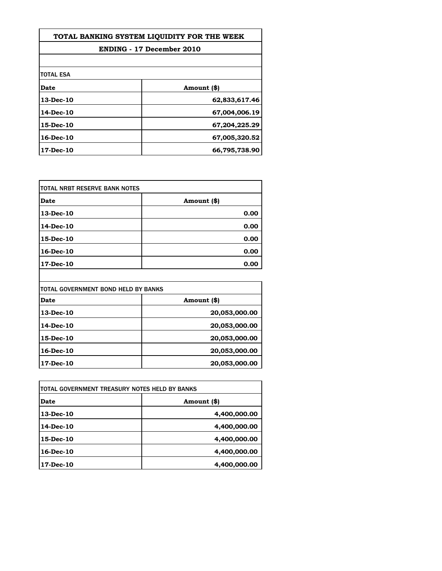| TOTAL BANKING SYSTEM LIOUIDITY FOR THE WEEK<br><b>ENDING - 17 December 2010</b> |               |  |
|---------------------------------------------------------------------------------|---------------|--|
|                                                                                 |               |  |
| <b>TOTAL ESA</b>                                                                |               |  |
| Date                                                                            | Amount (\$)   |  |
| 13-Dec-10                                                                       | 62,833,617.46 |  |
| 14-Dec-10                                                                       | 67,004,006.19 |  |
| 15-Dec-10                                                                       | 67,204,225.29 |  |
| 16-Dec-10                                                                       | 67,005,320.52 |  |
| 17-Dec-10                                                                       | 66,795,738.90 |  |

| ITOTAL NRBT RESERVE BANK NOTES |             |
|--------------------------------|-------------|
| Date                           | Amount (\$) |
| 13-Dec-10                      | 0.00        |
| 14-Dec-10                      | 0.00        |
| 15-Dec-10                      | 0.00        |
| 16-Dec-10                      | 0.00        |
| 17-Dec-10                      | 0.00        |

| TOTAL GOVERNMENT BOND HELD BY BANKS |               |
|-------------------------------------|---------------|
| Date                                | Amount (\$)   |
| 13-Dec-10                           | 20,053,000.00 |
| 14-Dec-10                           | 20,053,000.00 |
| 15-Dec-10                           | 20,053,000.00 |
| 16-Dec-10                           | 20,053,000.00 |
| 17-Dec-10                           | 20,053,000.00 |

| ITOTAL GOVERNMENT TREASURY NOTES HELD BY BANKS |              |
|------------------------------------------------|--------------|
| Date                                           | Amount (\$)  |
| 13-Dec-10                                      | 4,400,000.00 |
| 14-Dec-10                                      | 4,400,000.00 |
| 15-Dec-10                                      | 4,400,000.00 |
| 16-Dec-10                                      | 4,400,000.00 |
| 17-Dec-10                                      | 4,400,000.00 |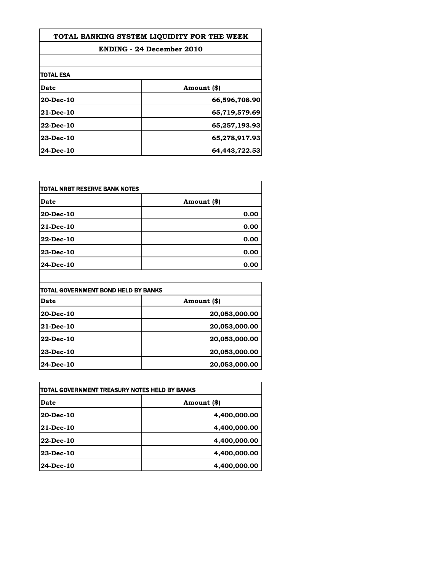| TOTAL BANKING SYSTEM LIOUIDITY FOR THE WEEK |               |
|---------------------------------------------|---------------|
| <b>ENDING - 24 December 2010</b>            |               |
|                                             |               |
| TOTAL ESA                                   |               |
| Date                                        | Amount (\$)   |
| 20-Dec-10                                   | 66,596,708.90 |
| $21$ -Dec-10                                | 65,719,579.69 |
| 22-Dec-10                                   | 65,257,193.93 |
| 23-Dec-10                                   | 65,278,917.93 |
| 24-Dec-10                                   | 64,443,722.53 |

| Date      | Amount (\$) |
|-----------|-------------|
| 20-Dec-10 | 0.00        |
| 21-Dec-10 | 0.00        |
| 22-Dec-10 | 0.00        |
| 23-Dec-10 | 0.00        |
| 24-Dec-10 | 0.00        |

| ITOTAL GOVERNMENT BOND HELD BY BANKS |               |
|--------------------------------------|---------------|
| Date                                 | Amount (\$)   |
| 20-Dec-10                            | 20,053,000.00 |
| 21-Dec-10                            | 20,053,000.00 |
| 22-Dec-10                            | 20,053,000.00 |
| <b>23-Dec-10</b>                     | 20,053,000.00 |
| 24-Dec-10                            | 20,053,000.00 |

| itotal Government treasury notes held by Banks |              |
|------------------------------------------------|--------------|
| Date                                           | Amount (\$)  |
| 20-Dec-10                                      | 4,400,000.00 |
| <b>21-Dec-10</b>                               | 4,400,000.00 |
| 22-Dec-10                                      | 4,400,000.00 |
| 23-Dec-10                                      | 4,400,000.00 |
| 24-Dec-10                                      | 4,400,000.00 |